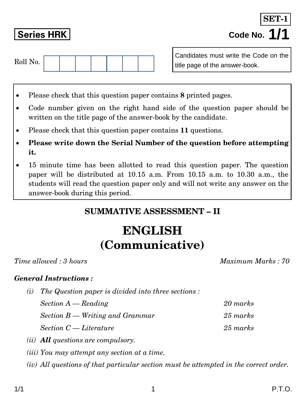## **Please write down the Serial Number of the question before attempting it.**

Roll No.

 15 minute time has been allotted to read this question paper. The question paper will be distributed at 10.15 a.m. From 10.15 a.m. to 10.30 a.m., the students will read the question paper only and will not write any answer on the answer-book during this period.

# **SUMMATIVE ASSESSMENT – II**

# **ENGLISH (Communicative)**

*Time allowed : 3 hours Maximum Marks : 70*

# *General Instructions :*

*(i) The Question paper is divided into three sections :* 

*Section A — Reading 20 marks Section B — Writing and Grammar 25 marks Section C — Literature 25 marks* 

- *(ii) All questions are compulsory.*
- *(iii) You may attempt any section at a time.*
- *(iv) All questions of that particular section must be attempted in the correct order.*

Candidates must write the Code on the title page of the answer-book.

Please check that this question paper contains **8** printed pages.

Please check that this question paper contains **11** questions.

 Code number given on the right hand side of the question paper should be written on the title page of the answer-book by the candidate.





**SET-1**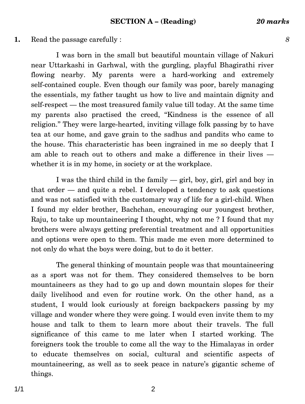**1.** Read the passage carefully : *8*

I was born in the small but beautiful mountain village of Nakuri near Uttarkashi in Garhwal, with the gurgling, playful Bhagirathi river flowing nearby. My parents were a hard-working and extremely self-contained couple. Even though our family was poor, barely managing the essentials, my father taught us how to live and maintain dignity and self-respect — the most treasured family value till today. At the same time my parents also practised the creed, ''Kindness is the essence of all religion.'' They were large-hearted, inviting village folk passing by to have tea at our home, and gave grain to the sadhus and pandits who came to the house. This characteristic has been ingrained in me so deeply that I am able to reach out to others and make a difference in their lives whether it is in my home, in society or at the workplace.

I was the third child in the family — girl, boy, girl, girl and boy in that order  $-$  and quite a rebel. I developed a tendency to ask questions and was not satisfied with the customary way of life for a girl-child. When I found my elder brother, Bachchan, encouraging our youngest brother, Raju, to take up mountaineering I thought, why not me ? I found that my brothers were always getting preferential treatment and all opportunities and options were open to them. This made me even more determined to not only do what the boys were doing, but to do it better.

The general thinking of mountain people was that mountaineering as a sport was not for them. They considered themselves to be born mountaineers as they had to go up and down mountain slopes for their daily livelihood and even for routine work. On the other hand, as a student, I would look curiously at foreign backpackers passing by my village and wonder where they were going. I would even invite them to my house and talk to them to learn more about their travels. The full significance of this came to me later when I started working. The foreigners took the trouble to come all the way to the Himalayas in order to educate themselves on social, cultural and scientific aspects of mountaineering, as well as to seek peace in nature's gigantic scheme of things.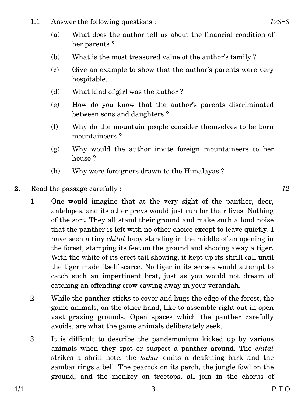- 1.1 Answer the following questions : *18=8*
	- (a) What does the author tell us about the financial condition of her parents ?
	- (b) What is the most treasured value of the author's family ?
	- (c) Give an example to show that the author's parents were very hospitable.
	- (d) What kind of girl was the author ?
	- (e) How do you know that the author's parents discriminated between sons and daughters ?
	- (f) Why do the mountain people consider themselves to be born mountaineers ?
	- (g) Why would the author invite foreign mountaineers to her house ?
	- (h) Why were foreigners drawn to the Himalayas ?
- **2.** Read the passage carefully : *12*
	- 1 One would imagine that at the very sight of the panther, deer, antelopes, and its other preys would just run for their lives. Nothing of the sort. They all stand their ground and make such a loud noise that the panther is left with no other choice except to leave quietly. I have seen a tiny *chital* baby standing in the middle of an opening in the forest, stamping its feet on the ground and shooing away a tiger. With the white of its erect tail showing, it kept up its shrill call until the tiger made itself scarce. No tiger in its senses would attempt to catch such an impertinent brat, just as you would not dream of catching an offending crow cawing away in your verandah.
	- 2 While the panther sticks to cover and hugs the edge of the forest, the game animals, on the other hand, like to assemble right out in open vast grazing grounds. Open spaces which the panther carefully avoids, are what the game animals deliberately seek.
	- 3 It is difficult to describe the pandemonium kicked up by various animals when they spot or suspect a panther around. The *chital* strikes a shrill note, the *kakar* emits a deafening bark and the sambar rings a bell. The peacock on its perch, the jungle fowl on the ground, and the monkey on treetops, all join in the chorus of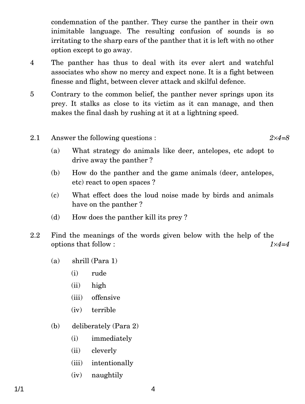condemnation of the panther. They curse the panther in their own inimitable language. The resulting confusion of sounds is so irritating to the sharp ears of the panther that it is left with no other option except to go away.

- 4 The panther has thus to deal with its ever alert and watchful associates who show no mercy and expect none. It is a fight between finesse and flight, between clever attack and skilful defence.
- 5 Contrary to the common belief, the panther never springs upon its prey. It stalks as close to its victim as it can manage, and then makes the final dash by rushing at it at a lightning speed.
- 2.1 Answer the following questions : *24=8*
	- (a) What strategy do animals like deer, antelopes, etc adopt to drive away the panther ?
	- (b) How do the panther and the game animals (deer, antelopes, etc) react to open spaces ?
	- (c) What effect does the loud noise made by birds and animals have on the panther ?
	- (d) How does the panther kill its prey ?
- 2.2 Find the meanings of the words given below with the help of the options that follow : *14=4*
	- (a) shrill (Para 1)
		- (i) rude
		- (ii) high
		- (iii) offensive
		- (iv) terrible
	- (b) deliberately (Para 2)
		- (i) immediately
		- (ii) cleverly
		- (iii) intentionally
		- (iv) naughtily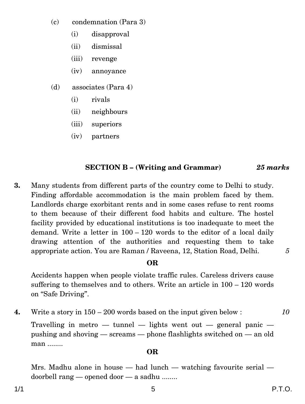- (c) condemnation (Para 3)
	- (i) disapproval
	- (ii) dismissal
	- (iii) revenge
	- (iv) annoyance
- (d) associates (Para 4)
	- (i) rivals
	- (ii) neighbours
	- (iii) superiors
	- (iv) partners

# **SECTION B – (Writing and Grammar)** *25 marks*

**3.** Many students from different parts of the country come to Delhi to study. Finding affordable accommodation is the main problem faced by them. Landlords charge exorbitant rents and in some cases refuse to rent rooms to them because of their different food habits and culture. The hostel facility provided by educational institutions is too inadequate to meet the demand. Write a letter in 100 – 120 words to the editor of a local daily drawing attention of the authorities and requesting them to take appropriate action. You are Raman / Raveena, 12, Station Road, Delhi. *5*

# **OR**

Accidents happen when people violate traffic rules. Careless drivers cause suffering to themselves and to others. Write an article in 100 – 120 words on ''Safe Driving''.

**4.** Write a story in 150 – 200 words based on the input given below : *10*

Travelling in metro  $-$  tunnel  $-$  lights went out  $-$  general panic  $$ pushing and shoving — screams — phone flashlights switched on — an old man ........

## **OR**

Mrs. Madhu alone in house — had lunch — watching favourite serial doorbell rang — opened door — a sadhu ........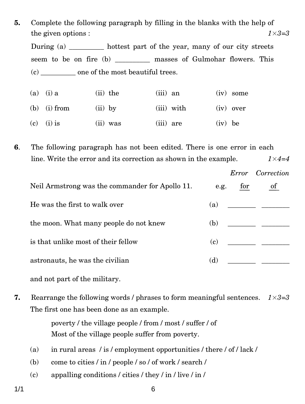- **5.** Complete the following paragraph by filling in the blanks with the help of the given options :  $1 \times 3=3$ During (a) \_\_\_\_\_\_\_\_\_ hottest part of the year, many of our city streets seem to be on fire (b) \_\_\_\_\_\_\_\_\_\_ masses of Gulmohar flowers. This (c) \_\_\_\_\_\_\_\_\_\_ one of the most beautiful trees. (a) (i) a (ii) the (iii) an (iv) some (b) (i) from (ii) by (iii) with (iv) over
	- (c) (i) is (ii) was (iii) are (iv) be

**6**. The following paragraph has not been edited. There is one error in each line. Write the error and its correction as shown in the example. *1*×*4=4*

|                                                 |      |     | Error Correction                                                                                                     |
|-------------------------------------------------|------|-----|----------------------------------------------------------------------------------------------------------------------|
| Neil Armstrong was the commander for Apollo 11. | e.g. | for | of                                                                                                                   |
| He was the first to walk over                   | (a)  |     | <u> 1980 - Jan James James III, president populari pre</u>                                                           |
| the moon. What many people do not knew          | (b)  |     | <u> 1990 - Jan Jawa Barat, prima prima prima prima prima prima prima prima prima prima prima prima prima prima p</u> |
| is that unlike most of their fellow             | (c)  |     | <u> 1980 - Jan Barbara Barbara, prima popular popular popular popular popular popular popular popular popular po</u> |
| astronauts, he was the civilian                 | (d)  |     | <u> 1980 - Jan James James Barbara, president populari e president populari e president populari e pre</u>           |

and not part of the military.

**7.** Rearrange the following words / phrases to form meaningful sentences. *1*×*3=3* The first one has been done as an example.

> poverty / the village people / from / most / suffer / of Most of the village people suffer from poverty.

- (a) in rural areas / is / employment opportunities / there  $/$  of  $/$  lack  $/$
- (b) come to cities / in / people / so / of work / search /
- (c) appalling conditions / cities / they / in / live / in /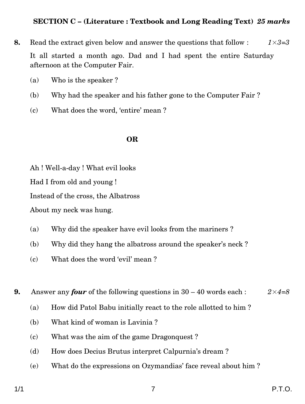#### **SECTION C – (Literature : Textbook and Long Reading Text)** *25 marks*

**8.** Read the extract given below and answer the questions that follow : *1*×*3=3*

It all started a month ago. Dad and I had spent the entire Saturday afternoon at the Computer Fair.

- (a) Who is the speaker ?
- (b) Why had the speaker and his father gone to the Computer Fair ?
- (c) What does the word, 'entire' mean ?

#### **OR**

Ah ! Well-a-day ! What evil looks

Had I from old and young !

Instead of the cross, the Albatross

About my neck was hung.

- (a) Why did the speaker have evil looks from the mariners ?
- (b) Why did they hang the albatross around the speaker's neck ?
- (c) What does the word 'evil' mean ?

**9.** Answer any *four* of the following questions in  $30 - 40$  words each :  $2 \times 4 = 8$ 

- (a) How did Patol Babu initially react to the role allotted to him ?
- (b) What kind of woman is Lavinia ?
- (c) What was the aim of the game Dragonquest ?
- (d) How does Decius Brutus interpret Calpurnia's dream ?
- (e) What do the expressions on Ozymandias' face reveal about him ?